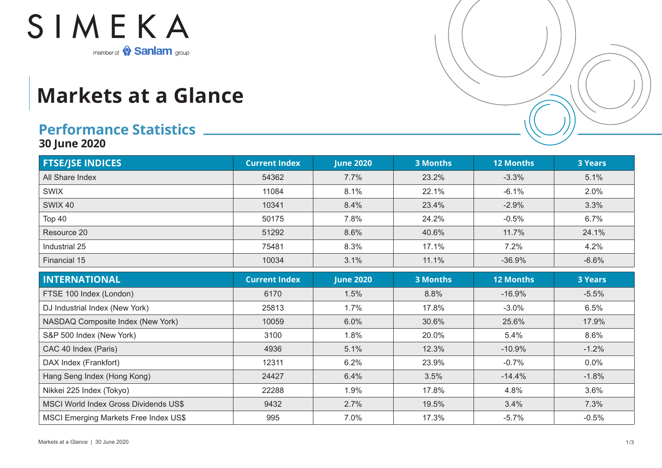

## **Markets at a Glance**

## **Performance Statistics**

**30 June 2020**

| <b>FTSE/JSE INDICES</b> | <b>Current Index</b> | <b>June 2020</b> | <b>3 Months</b> | <b>12 Months</b> | <b>3 Years</b> |
|-------------------------|----------------------|------------------|-----------------|------------------|----------------|
| All Share Index         | 54362                | 7.7%             | 23.2%           | $-3.3%$          | 5.1%           |
| <b>SWIX</b>             | 11084                | 8.1%             | 22.1%           | $-6.1%$          | 2.0%           |
| <b>SWIX 40</b>          | 10341                | 8.4%             | 23.4%           | $-2.9%$          | 3.3%           |
| Top 40                  | 50175                | 7.8%             | 24.2%           | $-0.5%$          | 6.7%           |
| Resource 20             | 51292                | 8.6%             | 40.6%           | 11.7%            | 24.1%          |
| Industrial 25           | 75481                | 8.3%             | 17.1%           | 7.2%             | 4.2%           |
| Financial 15            | 10034                | 3.1%             | 11.1%           | $-36.9%$         | $-6.6%$        |

| <b>INTERNATIONAL</b>                  | <b>Current Index</b> | <b>June 2020</b> | <b>3 Months</b> | <b>12 Months</b> | <b>3 Years</b> |
|---------------------------------------|----------------------|------------------|-----------------|------------------|----------------|
| FTSE 100 Index (London)               | 6170                 | 1.5%             | 8.8%            | $-16.9\%$        | $-5.5%$        |
| DJ Industrial Index (New York)        | 25813                | 1.7%             | 17.8%           | $-3.0%$          | 6.5%           |
| NASDAQ Composite Index (New York)     | 10059                | 6.0%             | 30.6%           | 25.6%            | 17.9%          |
| S&P 500 Index (New York)              | 3100                 | 1.8%             | 20.0%           | 5.4%             | 8.6%           |
| CAC 40 Index (Paris)                  | 4936                 | 5.1%             | 12.3%           | $-10.9%$         | $-1.2%$        |
| DAX Index (Frankfort)                 | 12311                | 6.2%             | 23.9%           | $-0.7%$          | $0.0\%$        |
| Hang Seng Index (Hong Kong)           | 24427                | 6.4%             | 3.5%            | $-14.4\%$        | $-1.8%$        |
| Nikkei 225 Index (Tokyo)              | 22288                | 1.9%             | 17.8%           | 4.8%             | 3.6%           |
| MSCI World Index Gross Dividends US\$ | 9432                 | 2.7%             | 19.5%           | 3.4%             | 7.3%           |
| MSCI Emerging Markets Free Index US\$ | 995                  | 7.0%             | 17.3%           | $-5.7\%$         | $-0.5%$        |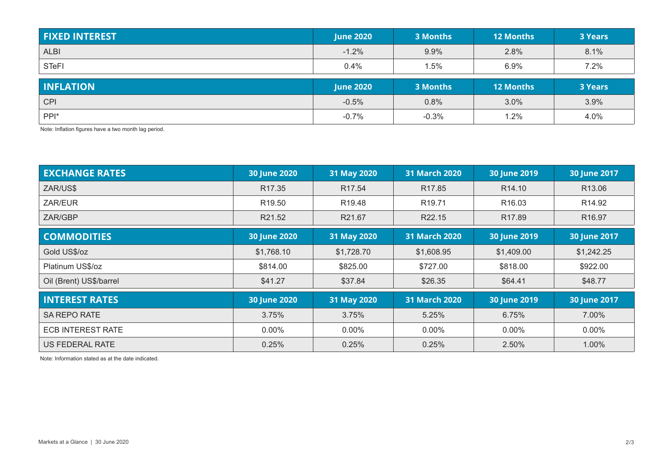| <b>FIXED INTEREST</b> | <b>June 2020</b> | 3 Months | <b>12 Months</b> | <b>3 Years</b> |
|-----------------------|------------------|----------|------------------|----------------|
| <b>ALBI</b>           | $-1.2%$          | 9.9%     | 2.8%             | 8.1%           |
| <b>STeFI</b>          | 0.4%             | 1.5%     | 6.9%             | 7.2%           |
|                       |                  |          |                  |                |
| <b>INFLATION</b>      | <b>June 2020</b> | 3 Months | <b>12 Months</b> | <b>3 Years</b> |
| <b>CPI</b>            | $-0.5%$          | 0.8%     | 3.0%             | 3.9%           |

Note: Inflation figures have a two month lag period.

| <b>EXCHANGE RATES</b>    | 30 June 2020       | 31 May 2020        | <b>31 March 2020</b> | 30 June 2019       | <b>30 June 2017</b> |
|--------------------------|--------------------|--------------------|----------------------|--------------------|---------------------|
| ZAR/US\$                 | R <sub>17.35</sub> | R <sub>17.54</sub> | R <sub>17.85</sub>   | R <sub>14.10</sub> | R <sub>13.06</sub>  |
| ZAR/EUR                  | R <sub>19.50</sub> | R19.48             | R <sub>19.71</sub>   | R <sub>16.03</sub> | R14.92              |
| ZAR/GBP                  | R21.52             | R21.67             | R22.15               | R <sub>17.89</sub> | R16.97              |
| <b>COMMODITIES</b>       | 30 June 2020       | 31 May 2020        | <b>31 March 2020</b> | 30 June 2019       | <b>30 June 2017</b> |
| Gold US\$/oz             | \$1,768.10         | \$1,728.70         | \$1,608.95           | \$1,409.00         | \$1,242.25          |
| Platinum US\$/oz         | \$814.00           | \$825.00           | \$727.00             | \$818.00           | \$922.00            |
| Oil (Brent) US\$/barrel  | \$41.27            | \$37.84            | \$26.35              | \$64.41            | \$48.77             |
| <b>INTEREST RATES</b>    | 30 June 2020       | 31 May 2020        | <b>31 March 2020</b> | 30 June 2019       | 30 June 2017        |
| SA REPO RATE             | 3.75%              | 3.75%              | 5.25%                | 6.75%              | 7.00%               |
| <b>ECB INTEREST RATE</b> | $0.00\%$           | $0.00\%$           | $0.00\%$             | $0.00\%$           | $0.00\%$            |
| <b>US FEDERAL RATE</b>   | 0.25%              | 0.25%              | 0.25%                | 2.50%              | 1.00%               |

Note: Information stated as at the date indicated.